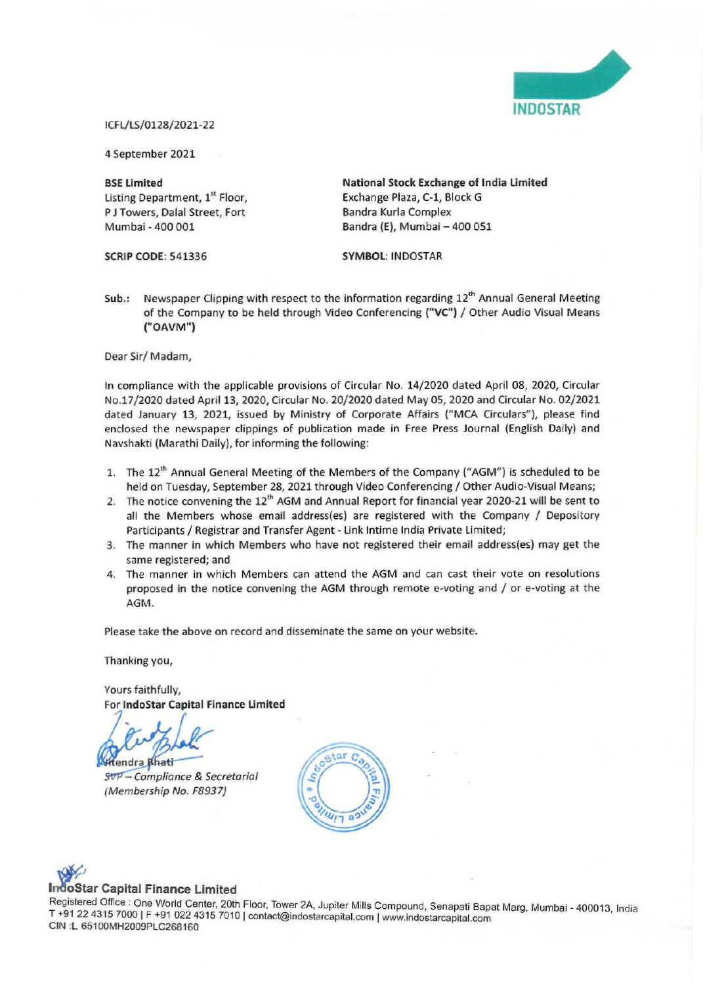

ICFL/LS/0128/2021-22

4 September 2021

**SSE limited**  Listing Department, 1<sup>st</sup> Floor, P J Towers, Dalal Street, Fort Mumbai - 400 001

Exchange Plaza, C-1, Block G Bandra Kurla Complex Bandra {E), Mumbai - 400 051

**National Stock Exchange of India limited** 

**SCRIP CODE:** 541336

**SYMBOL: INDOSTAR** 

Sub.: Newspaper Clipping with respect to the information regarding 12<sup>th</sup> Annual General Meeting of the Company to be held through Video Conferencing **("VC")** / Other Audio Visual Means **("OAVM")** 

Dear Sir/ Madam,

In compliance with the applicable provisions of Circular No. 14/2020 dated April 08, 2020, Circular No.17 / 2020 dated April 13, 2020, Circular No. 20/2020 dated May OS, 2020 and Circular No. 02/2021 dated January 13, 2021, issued by Ministry of Corporate Affairs ("MCA Circulars"), please find enclosed the newspaper clippings of publication made in Free Press Journal (English Daily) and Navshakti (Marathi Daily), for informing the following:

- 1. The 12<sup>th</sup> Annual General Meeting of the Members of the Company ("AGM") is scheduled to be held on Tuesday, September 28, 2021 through Video Conferencing/ Other Audio-Visual Means;
- 2. The notice convening the 12<sup>th</sup> AGM and Annual Report for financial year 2020-21 will be sent to all the Members whose email address(es) are registered with the Company / Depository Participants/ Registrar and Transfer Agent - Link lntime India Private Limited;
- 3. The manner in which Members who have not registered their email address(es) may get the same registered; and
- 4. The manner in which Members can attend the AGM and can cast their vote on resolutions proposed in the notice convening the AGM through remote e-voting and / or e-voting at the AGM.

Please take the above on record and disseminate the same on your website.

Thanking you,

Yours faithfully, For **lndoStar Capital Finance limited** 

 $\mathcal{V}$ ftendra Bhati

SVP - Compliance & Secretarial (Membership No. F8937)



### **PAL IndoStar Capital Finance Limited**

Registered Office: One World Center, 20th Floor, Tower 2A, Jupiter Mills Compound, Senapati Bapat Marg, Mumbai - 400013, India T +91 22 4315 7000 | F +91 022 4315 7010 | contact@indostarcapital.com | www.indostarcapital.com CIN ;L 65100MH2009PLC268160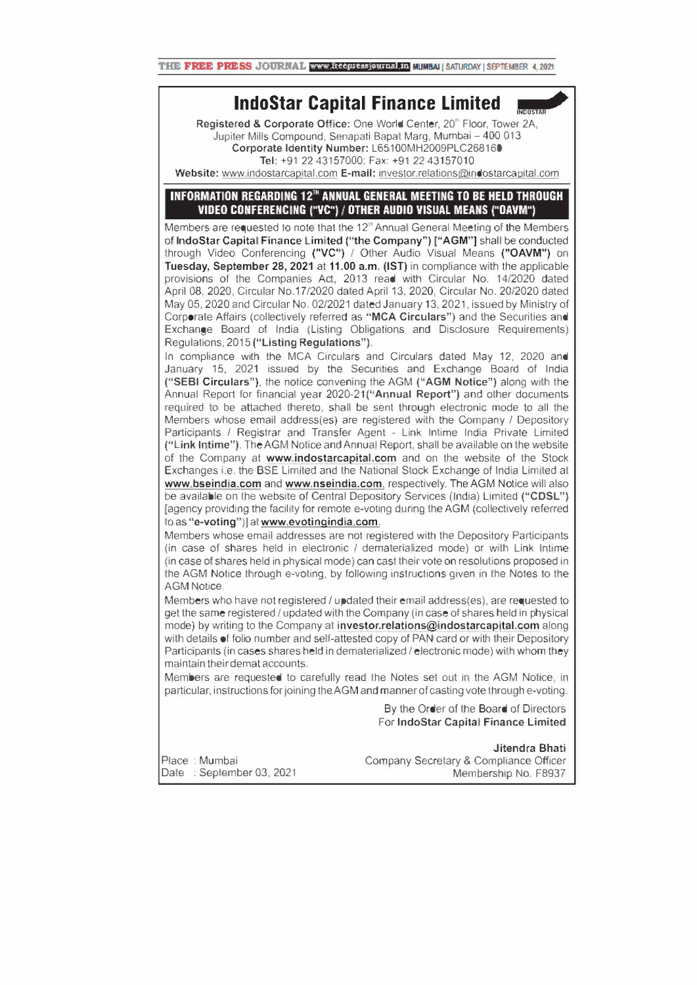## **IndoStar Capital Finance Limited**

Registered & Corporate Office: One World Center, 20<sup>th</sup> Floor, Tower 2A, Jupiter Mills Compound, Senapati Bapat Marg, Mumbai - 400 013 Corporate Identity Number: L65100MH2009PLC268160 Tel: +912243157000; Fax: +912243157010

Website: www.indostarcapital.com E-mail: investor.relations@indostarcapital.com

#### **INFORMATION REGARDING 12<sup>th</sup> ANNUAL GENERAL MEETING TO BE HELD THROUGH VIDEO CONFERENCING ("VC") / OTHER AUDIO VISUAL MEANS ("OAVM")**

Members are requested to note that the 12" Annual General Meeting of the Members of lndoStar Capital Finance Limited ("the Company") ["AGM"] shall be conducted through Video Conferencing ("VC") *I* Other Audio Visual Means ("OAVM") on Tuesday, September 28, 2021 at 11.00 a.m. (1ST) in compliance with the applicable provisions of the Companies Act, 2013 read with Circular No. 14/2020 dated April 08, 2020, Circular No.17/2020 dated April 13, 2020, Circular No. 20/2020 dated May 05, 2020 and Circular No. 02/2021 dated January 13, 2021, issued by Ministry of Corporate Affairs (collectively referred as "MCA Circulars") and the Securities and Exchange Board of India (Listing Obligations and Disclosure Requirements) Regulations, 2015 ("Listing Regulations").

In compliance with the MCA Circulars and Circulars dated May 12, 2020 and January 15, 2021 issued by the Securities and Exchange Board of India ("SEBI Circulars"), the notice convening the AGM ("AGM Notice") along with the Annual Report for financial year 2020-21("Annual Report") and other documents required to be attached thereto, shall be sent through electronic mode to all the Members whose email address(es) are registered with the Company / Depository Participants / Registrar and Transfer Agent - Link lntime India Private Limited ("Link lntime"). TheAGM Notice and Annual Report, shall be available on the website of the Company at www.indostarcapital.com and on the website of the Stock Exchanges i.e. the SSE Limited and the National Stock Exchange of India Limited at www.bseindia.com and www.nseindia.com, respectively. The AGM Notice will also be available on the website of Central Depository Services (India) Limited ("CDSL") [agency providing the facility for remote e-voting during the AGM (collectively referred to as "e-voting")I at www.evotingindia.com.

Members whose email addresses are not registered with the Depository Participants (in case of shares held in electronic *I* dematerialized mode) or with Link lntime (in case of shares held in physical mode) can cast their vote on resolutions proposed in the AGM Notice through e-voting, by following instructions given in the Notes to the AGM Notice.

Members who have not registered/ updated their email address(es), are requested to get the same registered/ updated with the Company (in case of shares held in physical mode) by writing to the Company at investor.relations@indostarcapital.com along with details of folio number and self-attested copy of PAN card or with their Depository Participants (in cases shares held in dematerialized/ electronic mode) with whom they maintain their demat accounts.

Members are requested to carefully read the Notes set out in the AGM Notice, in particular, instructions for joining the AGM and manner of casting vote through e-voting.

> By the Order of the Board of Directors For lndoStar Capital Finance Limited

Place : Mumbai Date : September 03, 2021

Jitendra Bhati Company Secretary & Compliance Officer Membership No. F8937